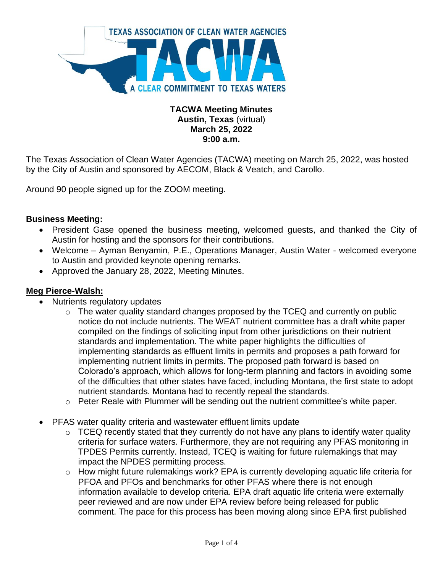

### **TACWA Meeting Minutes Austin, Texas** (virtual) **March 25, 2022 9:00 a.m.**

The Texas Association of Clean Water Agencies (TACWA) meeting on March 25, 2022, was hosted by the City of Austin and sponsored by AECOM, Black & Veatch, and Carollo.

Around 90 people signed up for the ZOOM meeting.

### **Business Meeting:**

- President Gase opened the business meeting, welcomed guests, and thanked the City of Austin for hosting and the sponsors for their contributions.
- Welcome Ayman Benyamin, P.E., Operations Manager, Austin Water welcomed everyone to Austin and provided keynote opening remarks.
- Approved the January 28, 2022, Meeting Minutes.

#### **Meg Pierce-Walsh:**

- Nutrients regulatory updates
	- o The water quality standard changes proposed by the TCEQ and currently on public notice do not include nutrients. The WEAT nutrient committee has a draft white paper compiled on the findings of soliciting input from other jurisdictions on their nutrient standards and implementation. The white paper highlights the difficulties of implementing standards as effluent limits in permits and proposes a path forward for implementing nutrient limits in permits. The proposed path forward is based on Colorado's approach, which allows for long-term planning and factors in avoiding some of the difficulties that other states have faced, including Montana, the first state to adopt nutrient standards. Montana had to recently repeal the standards.
	- o Peter Reale with Plummer will be sending out the nutrient committee's white paper.
- PFAS water quality criteria and wastewater effluent limits update
	- $\circ$  TCEQ recently stated that they currently do not have any plans to identify water quality criteria for surface waters. Furthermore, they are not requiring any PFAS monitoring in TPDES Permits currently. Instead, TCEQ is waiting for future rulemakings that may impact the NPDES permitting process.
	- o How might future rulemakings work? EPA is currently developing aquatic life criteria for PFOA and PFOs and benchmarks for other PFAS where there is not enough information available to develop criteria. EPA draft aquatic life criteria were externally peer reviewed and are now under EPA review before being released for public comment. The pace for this process has been moving along since EPA first published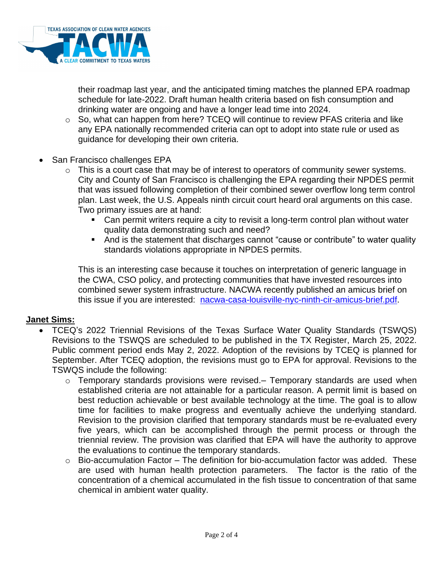

their roadmap last year, and the anticipated timing matches the planned EPA roadmap schedule for late-2022. Draft human health criteria based on fish consumption and drinking water are ongoing and have a longer lead time into 2024.

- o So, what can happen from here? TCEQ will continue to review PFAS criteria and like any EPA nationally recommended criteria can opt to adopt into state rule or used as guidance for developing their own criteria.
- San Francisco challenges EPA
	- $\circ$  This is a court case that may be of interest to operators of community sewer systems. City and County of San Francisco is challenging the EPA regarding their NPDES permit that was issued following completion of their combined sewer overflow long term control plan. Last week, the U.S. Appeals ninth circuit court heard oral arguments on this case. Two primary issues are at hand:
		- Can permit writers require a city to revisit a long-term control plan without water quality data demonstrating such and need?
		- And is the statement that discharges cannot "cause or contribute" to water quality standards violations appropriate in NPDES permits.

This is an interesting case because it touches on interpretation of generic language in the CWA, CSO policy, and protecting communities that have invested resources into combined sewer system infrastructure. NACWA recently published an amicus brief on this issue if you are interested: [nacwa-casa-louisville-nyc-ninth-cir-amicus-brief.pdf.](https://gcc02.safelinks.protection.outlook.com/?url=https%3A%2F%2Fwww.nacwa.org%2Fdocs%2Fdefault-source%2Fresources---public%2Fnacwa-casa-louisville-nyc-ninth-cir-amicus-brief.pdf%3Fsfvrsn%3Dcef0fa61_2&data=04%7C01%7CCarol.LaBreche%40houstontx.gov%7C1fb9895afe9c49ffb18b08da0ea9352f%7C57a85a10258b45b4a519c96c7721094c%7C1%7C0%7C637838418195242493%7CUnknown%7CTWFpbGZsb3d8eyJWIjoiMC4wLjAwMDAiLCJQIjoiV2luMzIiLCJBTiI6Ik1haWwiLCJXVCI6Mn0%3D%7C3000&sdata=BNd8y4baUtE5SlAQh7oTmiWyQUQFv1XnHC1846R5OvU%3D&reserved=0)

#### **Janet Sims:**

- TCEQ's 2022 Triennial Revisions of the Texas Surface Water Quality Standards (TSWQS) Revisions to the TSWQS are scheduled to be published in the TX Register, March 25, 2022. Public comment period ends May 2, 2022. Adoption of the revisions by TCEQ is planned for September. After TCEQ adoption, the revisions must go to EPA for approval. Revisions to the TSWQS include the following:
	- o Temporary standards provisions were revised.– Temporary standards are used when established criteria are not attainable for a particular reason. A permit limit is based on best reduction achievable or best available technology at the time. The goal is to allow time for facilities to make progress and eventually achieve the underlying standard. Revision to the provision clarified that temporary standards must be re-evaluated every five years, which can be accomplished through the permit process or through the triennial review. The provision was clarified that EPA will have the authority to approve the evaluations to continue the temporary standards.
	- $\circ$  Bio-accumulation Factor The definition for bio-accumulation factor was added. These are used with human health protection parameters. The factor is the ratio of the concentration of a chemical accumulated in the fish tissue to concentration of that same chemical in ambient water quality.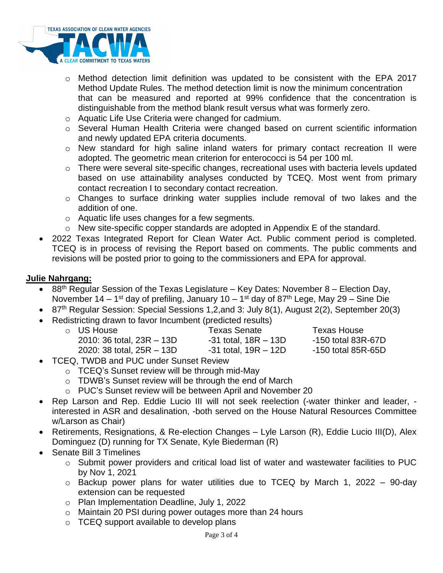

- $\circ$  Method detection limit definition was updated to be consistent with the EPA 2017 Method Update Rules. The method detection limit is now the minimum concentration that can be measured and reported at 99% confidence that the concentration is distinguishable from the method blank result versus what was formerly zero.
- o Aquatic Life Use Criteria were changed for cadmium.
- o Several Human Health Criteria were changed based on current scientific information and newly updated EPA criteria documents.
- o New standard for high saline inland waters for primary contact recreation II were adopted. The geometric mean criterion for enterococci is 54 per 100 ml.
- o There were several site-specific changes, recreational uses with bacteria levels updated based on use attainability analyses conducted by TCEQ. Most went from primary contact recreation I to secondary contact recreation.
- o Changes to surface drinking water supplies include removal of two lakes and the addition of one.
- o Aquatic life uses changes for a few segments.
- o New site-specific copper standards are adopted in Appendix E of the standard.
- 2022 Texas Integrated Report for Clean Water Act. Public comment period is completed. TCEQ is in process of revising the Report based on comments. The public comments and revisions will be posted prior to going to the commissioners and EPA for approval.

### **Julie Nahrgang:**

- $88<sup>th</sup>$  Regular Session of the Texas Legislature Key Dates: November 8 Election Day, November 14 – 1<sup>st</sup> day of prefiling, January 10 – 1<sup>st</sup> day of 87<sup>th</sup> Lege, May 29 – Sine Die
- 87<sup>th</sup> Regular Session: Special Sessions 1,2, and 3: July 8(1), August 2(2), September 20(3)
- Redistricting drawn to favor Incumbent (predicted results)

| $\circ$ US House              | <b>Texas Senate</b>      | Texas House        |
|-------------------------------|--------------------------|--------------------|
| $2010: 36$ total, $23R - 13D$ | $-31$ total, $18R - 13D$ | -150 total 83R-67D |
| 2020: 38 total, $25R - 13D$   | $-31$ total, $19R - 12D$ | -150 total 85R-65D |

- TCEQ, TWDB and PUC under Sunset Review
	- o TCEQ's Sunset review will be through mid-May
	- o TDWB's Sunset review will be through the end of March
	- o PUC's Sunset review will be between April and November 20
- Rep Larson and Rep. Eddie Lucio III will not seek reelection (-water thinker and leader, interested in ASR and desalination, -both served on the House Natural Resources Committee w/Larson as Chair)
- Retirements, Resignations, & Re-election Changes Lyle Larson (R), Eddie Lucio III(D), Alex Dominguez (D) running for TX Senate, Kyle Biederman (R)
- Senate Bill 3 Timelines
	- o Submit power providers and critical load list of water and wastewater facilities to PUC by Nov 1, 2021
	- $\circ$  Backup power plans for water utilities due to TCEQ by March 1, 2022 90-day extension can be requested
	- o Plan Implementation Deadline, July 1, 2022
	- o Maintain 20 PSI during power outages more than 24 hours
	- $\circ$  TCEQ support available to develop plans